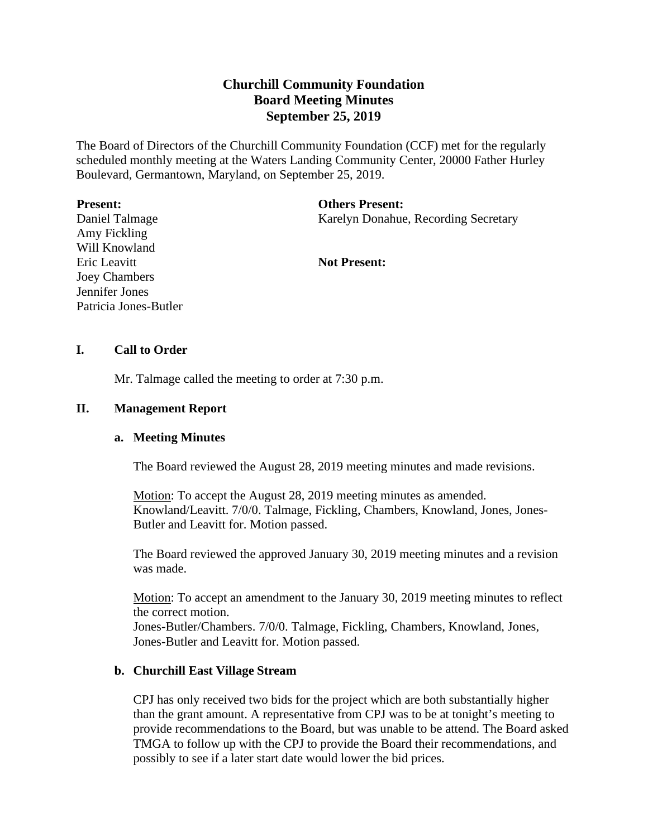# **Churchill Community Foundation Board Meeting Minutes September 25, 2019**

The Board of Directors of the Churchill Community Foundation (CCF) met for the regularly scheduled monthly meeting at the Waters Landing Community Center, 20000 Father Hurley Boulevard, Germantown, Maryland, on September 25, 2019.

#### **Present:**

Daniel Talmage Amy Fickling Will Knowland Eric Leavitt Joey Chambers Jennifer Jones Patricia Jones-Butler

#### **Others Present:**

Karelyn Donahue, Recording Secretary

#### **Not Present:**

## **I. Call to Order**

Mr. Talmage called the meeting to order at 7:30 p.m.

## **II. Management Report**

## **a. Meeting Minutes**

The Board reviewed the August 28, 2019 meeting minutes and made revisions.

Motion: To accept the August 28, 2019 meeting minutes as amended. Knowland/Leavitt. 7/0/0. Talmage, Fickling, Chambers, Knowland, Jones, Jones-Butler and Leavitt for. Motion passed.

The Board reviewed the approved January 30, 2019 meeting minutes and a revision was made.

Motion: To accept an amendment to the January 30, 2019 meeting minutes to reflect the correct motion.

Jones-Butler/Chambers. 7/0/0. Talmage, Fickling, Chambers, Knowland, Jones, Jones-Butler and Leavitt for. Motion passed.

## **b. Churchill East Village Stream**

CPJ has only received two bids for the project which are both substantially higher than the grant amount. A representative from CPJ was to be at tonight's meeting to provide recommendations to the Board, but was unable to be attend. The Board asked TMGA to follow up with the CPJ to provide the Board their recommendations, and possibly to see if a later start date would lower the bid prices.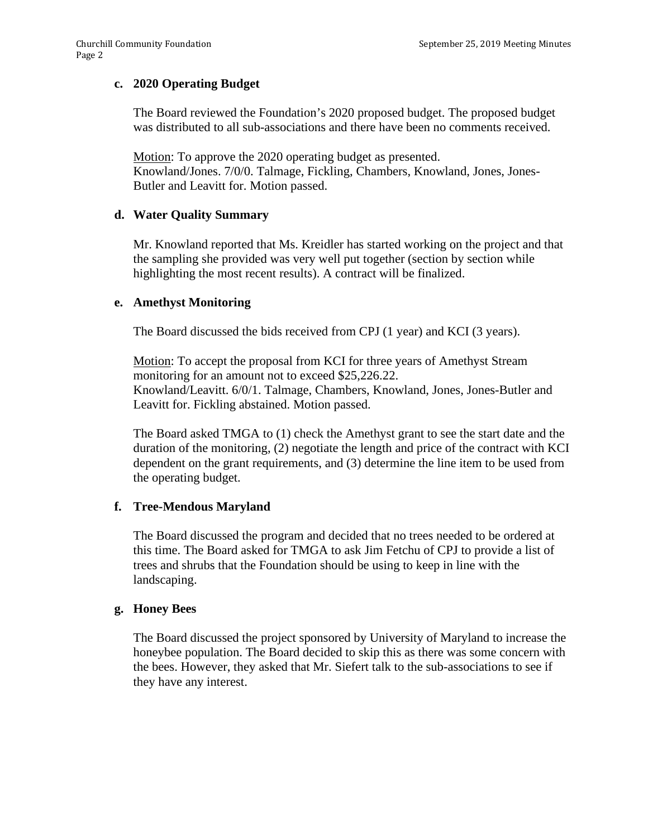# **c. 2020 Operating Budget**

The Board reviewed the Foundation's 2020 proposed budget. The proposed budget was distributed to all sub-associations and there have been no comments received.

Motion: To approve the 2020 operating budget as presented. Knowland/Jones. 7/0/0. Talmage, Fickling, Chambers, Knowland, Jones, Jones-Butler and Leavitt for. Motion passed.

## **d. Water Quality Summary**

Mr. Knowland reported that Ms. Kreidler has started working on the project and that the sampling she provided was very well put together (section by section while highlighting the most recent results). A contract will be finalized.

## **e. Amethyst Monitoring**

The Board discussed the bids received from CPJ (1 year) and KCI (3 years).

Motion: To accept the proposal from KCI for three years of Amethyst Stream monitoring for an amount not to exceed \$25,226.22. Knowland/Leavitt. 6/0/1. Talmage, Chambers, Knowland, Jones, Jones-Butler and Leavitt for. Fickling abstained. Motion passed.

The Board asked TMGA to (1) check the Amethyst grant to see the start date and the duration of the monitoring, (2) negotiate the length and price of the contract with KCI dependent on the grant requirements, and (3) determine the line item to be used from the operating budget.

## **f. Tree-Mendous Maryland**

The Board discussed the program and decided that no trees needed to be ordered at this time. The Board asked for TMGA to ask Jim Fetchu of CPJ to provide a list of trees and shrubs that the Foundation should be using to keep in line with the landscaping.

## **g. Honey Bees**

The Board discussed the project sponsored by University of Maryland to increase the honeybee population. The Board decided to skip this as there was some concern with the bees. However, they asked that Mr. Siefert talk to the sub-associations to see if they have any interest.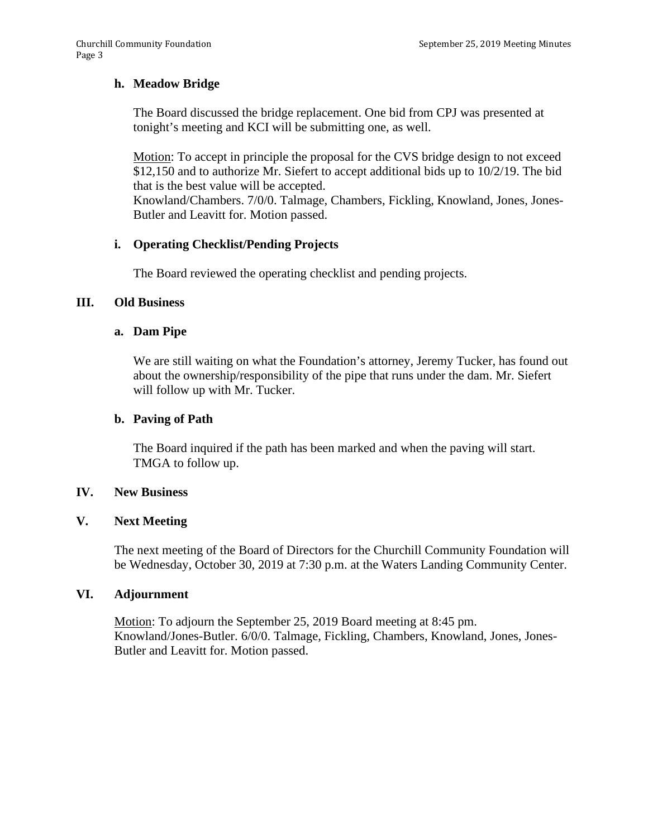# **h. Meadow Bridge**

The Board discussed the bridge replacement. One bid from CPJ was presented at tonight's meeting and KCI will be submitting one, as well.

Motion: To accept in principle the proposal for the CVS bridge design to not exceed \$12,150 and to authorize Mr. Siefert to accept additional bids up to 10/2/19. The bid that is the best value will be accepted.

Knowland/Chambers. 7/0/0. Talmage, Chambers, Fickling, Knowland, Jones, Jones-Butler and Leavitt for. Motion passed.

# **i. Operating Checklist/Pending Projects**

The Board reviewed the operating checklist and pending projects.

## **III. Old Business**

# **a. Dam Pipe**

We are still waiting on what the Foundation's attorney, Jeremy Tucker, has found out about the ownership/responsibility of the pipe that runs under the dam. Mr. Siefert will follow up with Mr. Tucker.

## **b. Paving of Path**

The Board inquired if the path has been marked and when the paving will start. TMGA to follow up.

## **IV. New Business**

## **V. Next Meeting**

The next meeting of the Board of Directors for the Churchill Community Foundation will be Wednesday, October 30, 2019 at 7:30 p.m. at the Waters Landing Community Center.

## **VI. Adjournment**

Motion: To adjourn the September 25, 2019 Board meeting at 8:45 pm. Knowland/Jones-Butler. 6/0/0. Talmage, Fickling, Chambers, Knowland, Jones, Jones-Butler and Leavitt for. Motion passed.